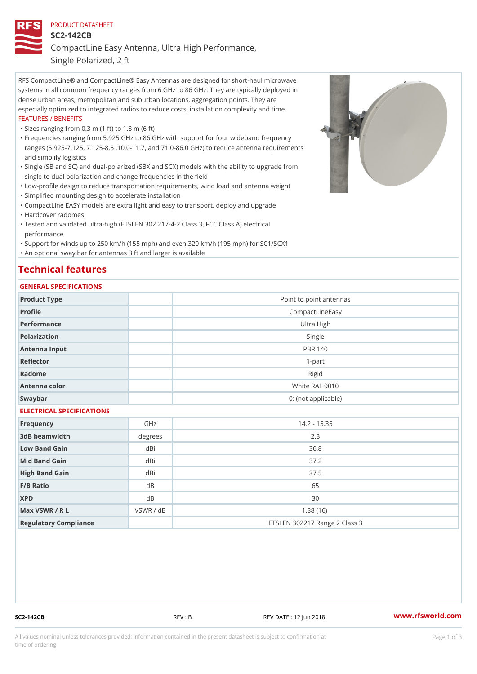### PRODUCT DATASHEET

SC2-142CB

CompactLine Easy Antenna, Ultra High Performance,

Single Polarized, 2 ft

RFS CompactLine® and CompactLine® Easy Antennas are designed for short-haul microwave systems in all common frequency ranges from 6 GHz to 86 GHz. They are typically deployed in dense urban areas, metropolitan and suburban locations, aggregation points. They are especially optimized to integrated radios to reduce costs, installation complexity and time. FEATURES / BENEFITS

"Sizes ranging from 0.3 m (1 ft) to 1.8 m (6 ft)

- Frequencies ranging from 5.925 GHz to 86 GHz with support for four wideband frequency " ranges (5.925-7.125, 7.125-8.5 ,10.0-11.7, and 71.0-86.0 GHz) to reduce antenna requirements and simplify logistics
- Single (SB and SC) and dual-polarized (SBX and SCX) models with the ability to upgrade from " single to dual polarization and change frequencies in the field

"Low-profile design to reduce transportation requirements, wind load and antenna weight

"Simplified mounting design to accelerate installation

 "CompactLine EASY models are extra light and easy to transport, deploy and upgrade "Hardcover radomes

Tested and validated ultra-high (ETSI EN 302 217-4-2 Class 3, FCC Class A) electrical " performance

 "Support for winds up to 250 km/h (155 mph) and even 320 km/h (195 mph) for SC1/SCX1 "An optional sway bar for antennas 3 ft and larger is available

# Technical features

## GENERAL SPECIFICATIONS

| OLIVERAL OF LOTITOATIONS  |                 |                                |  |  |  |
|---------------------------|-----------------|--------------------------------|--|--|--|
| Product Type              |                 | Point to point antennas        |  |  |  |
| Profile                   | CompactLineEasy |                                |  |  |  |
| Performance               | Ultra High      |                                |  |  |  |
| Polarization              | Single          |                                |  |  |  |
| Antenna Input             |                 | <b>PBR 140</b>                 |  |  |  |
| Reflector                 |                 | $1-part$                       |  |  |  |
| Radome                    |                 | Rigid                          |  |  |  |
| Antenna color             |                 | White RAL 9010                 |  |  |  |
| Swaybar                   |                 | 0: (not applicable)            |  |  |  |
| ELECTRICAL SPECIFICATIONS |                 |                                |  |  |  |
| Frequency                 | GHz             | $14.2 - 15.35$                 |  |  |  |
| 3dB beamwidth             | degrees         | 2.3                            |  |  |  |
| Low Band Gain             | dBi             | 36.8                           |  |  |  |
| Mid Band Gain             | dBi             | 37.2                           |  |  |  |
| High Band Gain            | dBi             | 37.5                           |  |  |  |
| F/B Ratio                 | d B             | 65                             |  |  |  |
| <b>XPD</b>                | $d$ B           | 30                             |  |  |  |
| Max VSWR / R L            | VSWR / dB       | 1.38(16)                       |  |  |  |
| Regulatory Compliance     |                 | ETSI EN 302217 Range 2 Class 3 |  |  |  |

SC2-142CB REV : B REV DATE : 12 Jun 2018 WWW.rfsworld.com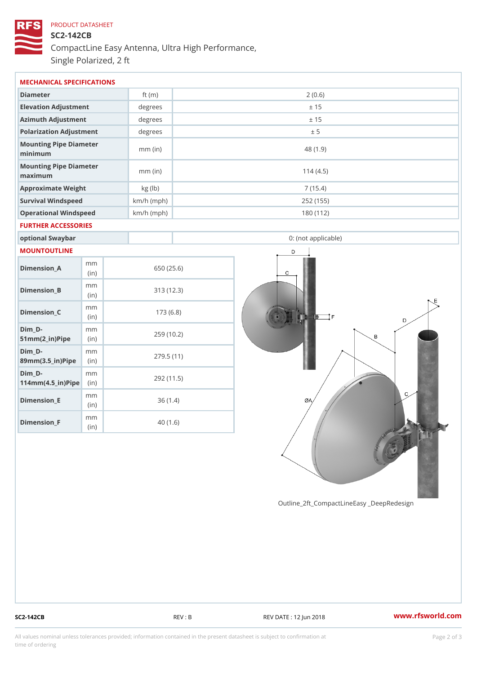# PRODUCT DATASHEET SC2-142CB CompactLine Easy Antenna, Ultra High Performance, Single Polarized, 2 ft

| MECHANICAL SPECIFICATIONS                                              |                |              |                     |  |  |  |
|------------------------------------------------------------------------|----------------|--------------|---------------------|--|--|--|
| Diameter                                                               |                | ft $(m)$     | 2(0.6)              |  |  |  |
| Elevation Adjustment                                                   |                | degrees      | ± 15                |  |  |  |
| Azimuth Adjustment                                                     |                | degrees      | ± 15                |  |  |  |
| Polarization Adjustment                                                |                | degrees      | ± 5                 |  |  |  |
| Mounting Pipe Diameter<br>minimum                                      |                | $mm$ (in)    | 48 (1.9)            |  |  |  |
| Mounting Pipe Diameter<br>maximum                                      |                | $mm$ (in)    | 114(4.5)            |  |  |  |
| Approximate Weight                                                     |                | kg (lb)      | 7(15.4)             |  |  |  |
| Survival Windspeed                                                     |                | $km/h$ (mph) | 252 (155)           |  |  |  |
| Operational Windspeed                                                  |                | $km/h$ (mph) | 180 (112)           |  |  |  |
| FURTHER ACCESSORIES                                                    |                |              |                     |  |  |  |
| optional Swaybar                                                       |                |              | 0: (not applicable) |  |  |  |
| MOUNTOUTLINE                                                           |                |              |                     |  |  |  |
| $Dimension_A$                                                          | m m<br>(in)    |              | 650 (25.6)          |  |  |  |
| Dimension_B                                                            | m m<br>(i n)   |              | 313 (12.3)          |  |  |  |
| $Dimension_C$                                                          | m m<br>(in)    |              | 173(6.8)            |  |  |  |
| $Dim_D - D -$<br>$51mm(2_in)Pip@in$                                    | m <sub>m</sub> |              | 259 (10.2)          |  |  |  |
| $Dim_D - D -$<br>$89$ m m $(3.5 \text{ in})$ P i(pine)                 | m <sub>m</sub> |              | 279.5(11)           |  |  |  |
| $Dim_D - D -$<br>$114$ m m $(4.5$ ir $)$ $\sqrt{$ ii $\sqrt{p}}$ $\ge$ | m <sub>m</sub> |              | 292 (11.5)          |  |  |  |

Outline\_2ft\_CompactLineEasy \_DeepRedesi

Dimension\_E

Dimension\_F

m m (in)

mm (in)

36 (1.4)

40 (1.6)

SC2-142CB REV : B REV : REV DATE : 12 Jun 2018 WWW.rfsworld.com